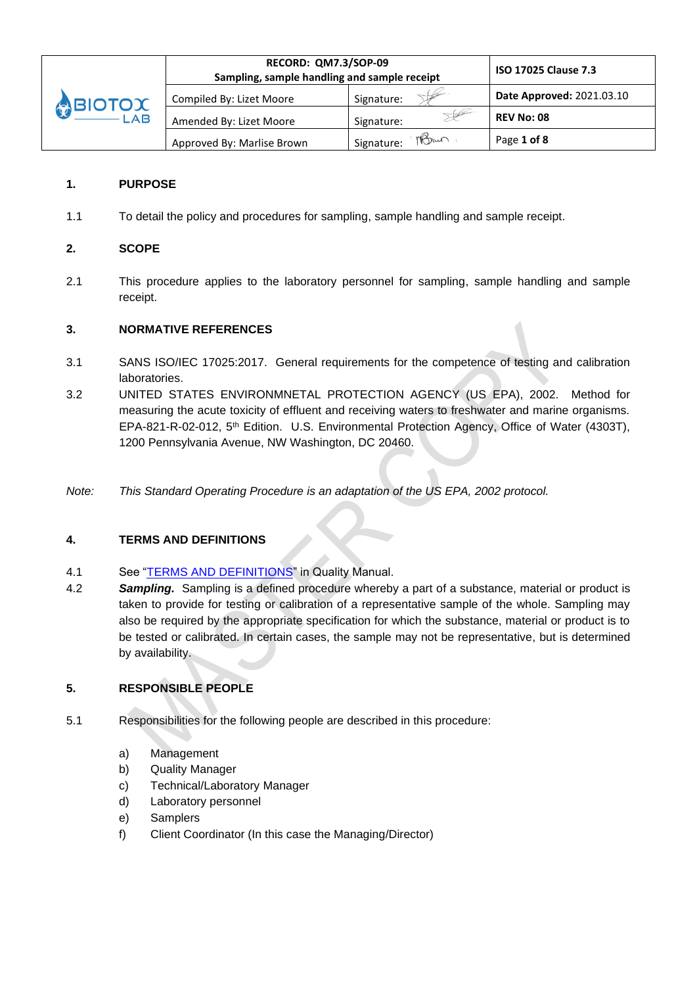|        | RECORD: QM7.3/SOP-09<br>Sampling, sample handling and sample receipt | <b>ISO 17025 Clause 7.3</b> |                           |
|--------|----------------------------------------------------------------------|-----------------------------|---------------------------|
| BIOTOX | Compiled By: Lizet Moore                                             | Signature:                  | Date Approved: 2021.03.10 |
|        | Amended By: Lizet Moore                                              | Signature:                  | <b>REV No: 08</b>         |
|        | Approved By: Marlise Brown                                           | Maun<br>Signature:          | Page 1 of 8               |

## **1. PURPOSE**

1.1 To detail the policy and procedures for sampling, sample handling and sample receipt.

## **2. SCOPE**

2.1 This procedure applies to the laboratory personnel for sampling, sample handling and sample receipt.

### **3. NORMATIVE REFERENCES**

- 3.1 SANS ISO/IEC 17025:2017. General requirements for the competence of testing and calibration laboratories.
- 3.2 UNITED STATES ENVIRONMNETAL PROTECTION AGENCY (US EPA), 2002. Method for measuring the acute toxicity of effluent and receiving waters to freshwater and marine organisms. EPA-821-R-02-012, 5<sup>th</sup> Edition. U.S. Environmental Protection Agency, Office of Water (4303T), 1200 Pennsylvania Avenue, NW Washington, DC 20460.
- *Note: This Standard Operating Procedure is an adaptation of the US EPA, 2002 protocol.*

### **4. TERMS AND DEFINITIONS**

- 4.1 See ["TERMS AND DEFINITIONS"](file:///C:/Users/Lizet/Documents/Clean%20Stream%20Biological/Accreditation/Quality%20manual/Section%201%20-QC%20Manual/CH%202%20Terms%20and%20Definitions.doc) in Quality Manual.
- 4.2 *Sampling.* Sampling is a defined procedure whereby a part of a substance, material or product is taken to provide for testing or calibration of a representative sample of the whole. Sampling may also be required by the appropriate specification for which the substance, material or product is to be tested or calibrated. In certain cases, the sample may not be representative, but is determined by availability.

## **5. RESPONSIBLE PEOPLE**

- 5.1 Responsibilities for the following people are described in this procedure:
	- a) Management
	- b) Quality Manager
	- c) Technical/Laboratory Manager
	- d) Laboratory personnel
	- e) Samplers
	- f) Client Coordinator (In this case the Managing/Director)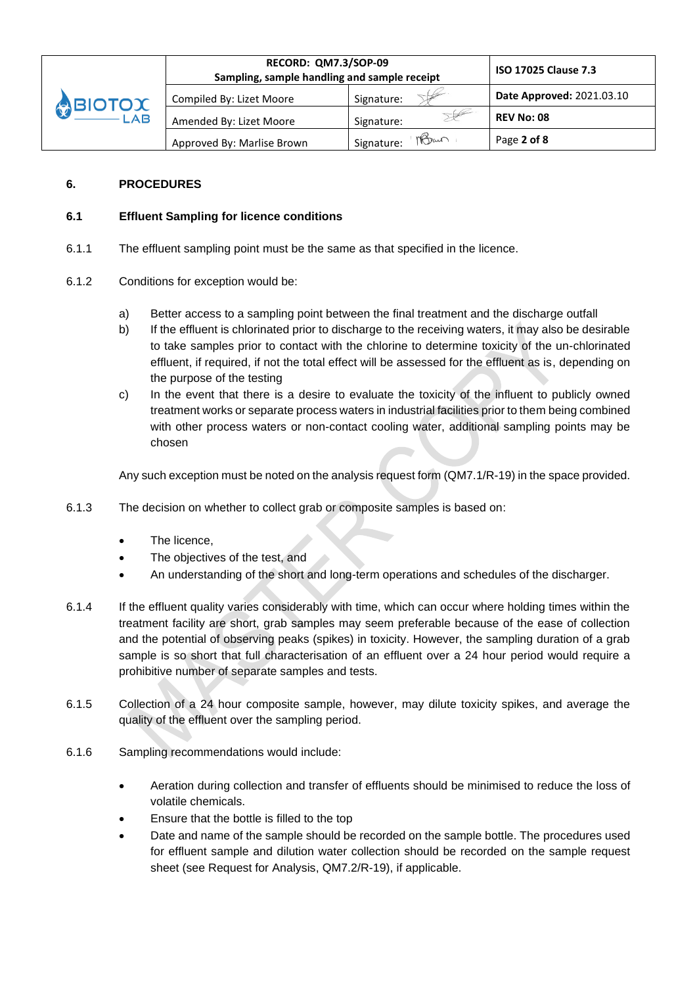|                          | RECORD: QM7.3/SOP-09<br>Sampling, sample handling and sample receipt | <b>ISO 17025 Clause 7.3</b> |                           |
|--------------------------|----------------------------------------------------------------------|-----------------------------|---------------------------|
| <b>ABIOTOX</b><br>$-LAB$ | Compiled By: Lizet Moore                                             | Signature:                  | Date Approved: 2021.03.10 |
|                          | Amended By: Lizet Moore                                              | Signature:                  | <b>REV No: 08</b>         |
|                          | Approved By: Marlise Brown                                           | nBan<br>Signature:          | Page 2 of 8               |

## **6. PROCEDURES**

## **6.1 Effluent Sampling for licence conditions**

- 6.1.1 The effluent sampling point must be the same as that specified in the licence.
- 6.1.2 Conditions for exception would be:
	- a) Better access to a sampling point between the final treatment and the discharge outfall
	- b) If the effluent is chlorinated prior to discharge to the receiving waters, it may also be desirable to take samples prior to contact with the chlorine to determine toxicity of the un-chlorinated effluent, if required, if not the total effect will be assessed for the effluent as is, depending on the purpose of the testing
	- c) In the event that there is a desire to evaluate the toxicity of the influent to publicly owned treatment works or separate process waters in industrial facilities prior to them being combined with other process waters or non-contact cooling water, additional sampling points may be chosen

Any such exception must be noted on the analysis request form (QM7.1/R-19) in the space provided.

- 6.1.3 The decision on whether to collect grab or composite samples is based on:
	- The licence.
	- The objectives of the test, and
	- An understanding of the short and long-term operations and schedules of the discharger.
- 6.1.4 If the effluent quality varies considerably with time, which can occur where holding times within the treatment facility are short, grab samples may seem preferable because of the ease of collection and the potential of observing peaks (spikes) in toxicity. However, the sampling duration of a grab sample is so short that full characterisation of an effluent over a 24 hour period would require a prohibitive number of separate samples and tests.
- 6.1.5 Collection of a 24 hour composite sample, however, may dilute toxicity spikes, and average the quality of the effluent over the sampling period.
- 6.1.6 Sampling recommendations would include:
	- Aeration during collection and transfer of effluents should be minimised to reduce the loss of volatile chemicals.
	- Ensure that the bottle is filled to the top
	- Date and name of the sample should be recorded on the sample bottle. The procedures used for effluent sample and dilution water collection should be recorded on the sample request sheet (see Request for Analysis, QM7.2/R-19), if applicable.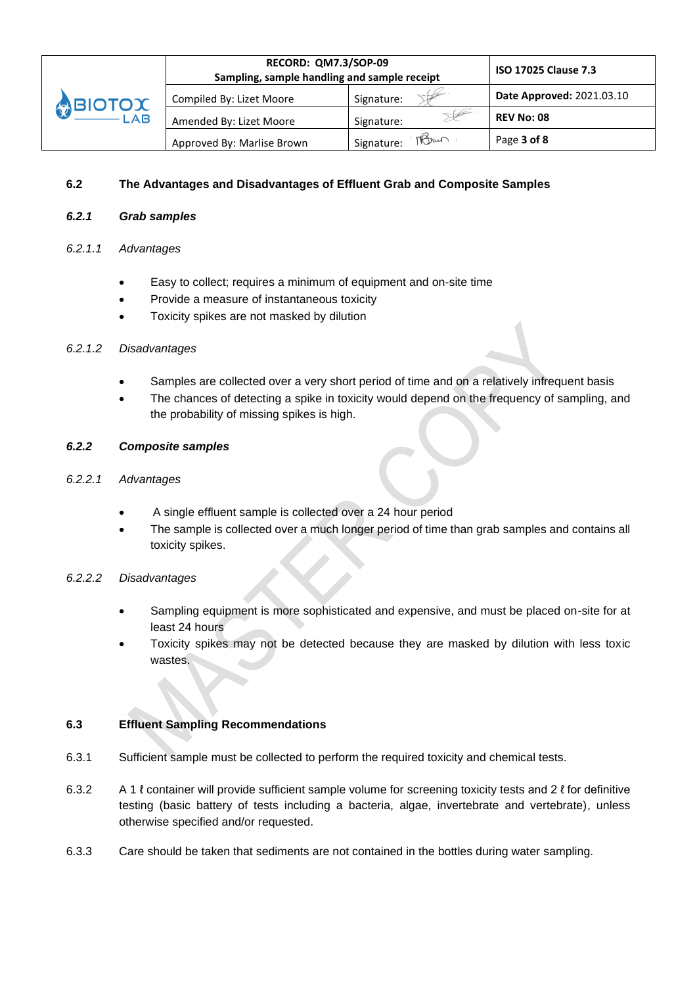

#### **6.2 The Advantages and Disadvantages of Effluent Grab and Composite Samples**

### *6.2.1 Grab samples*

#### *6.2.1.1 Advantages*

- Easy to collect; requires a minimum of equipment and on-site time
- Provide a measure of instantaneous toxicity
- Toxicity spikes are not masked by dilution

#### *6.2.1.2 Disadvantages*

- Samples are collected over a very short period of time and on a relatively infrequent basis
- The chances of detecting a spike in toxicity would depend on the frequency of sampling, and the probability of missing spikes is high.

#### *6.2.2 Composite samples*

- *6.2.2.1 Advantages*
	- A single effluent sample is collected over a 24 hour period
	- The sample is collected over a much longer period of time than grab samples and contains all toxicity spikes.

#### *6.2.2.2 Disadvantages*

- Sampling equipment is more sophisticated and expensive, and must be placed on-site for at least 24 hours
- Toxicity spikes may not be detected because they are masked by dilution with less toxic wastes.

#### **6.3 Effluent Sampling Recommendations**

- 6.3.1 Sufficient sample must be collected to perform the required toxicity and chemical tests.
- 6.3.2 A 1 ℓ container will provide sufficient sample volume for screening toxicity tests and 2 ℓ for definitive testing (basic battery of tests including a bacteria, algae, invertebrate and vertebrate), unless otherwise specified and/or requested.
- 6.3.3 Care should be taken that sediments are not contained in the bottles during water sampling.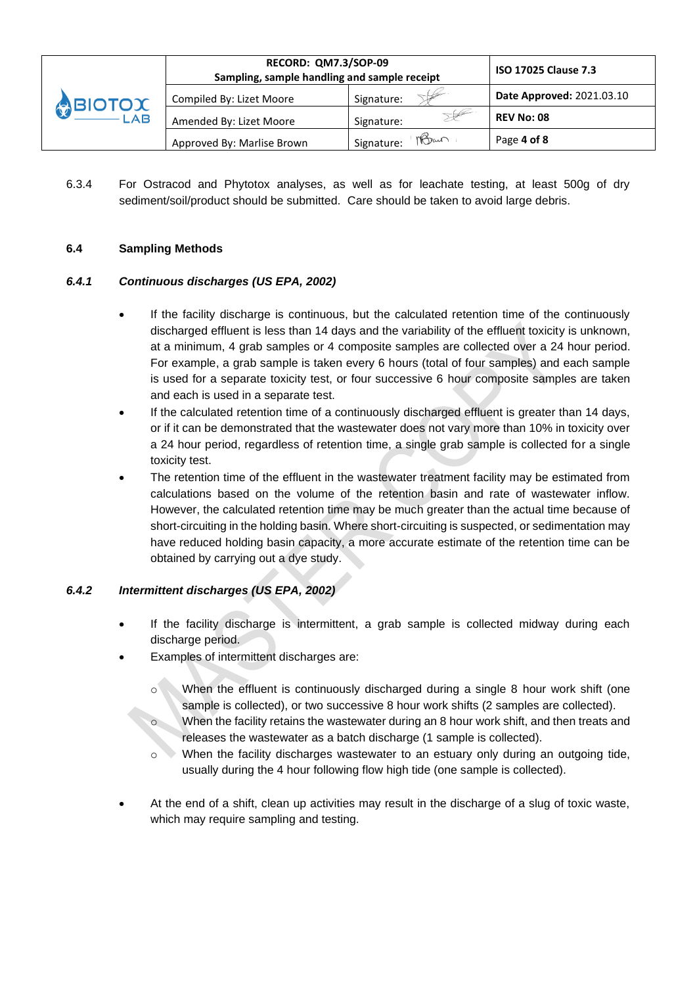|                               | RECORD: QM7.3/SOP-09<br>Sampling, sample handling and sample receipt | <b>ISO 17025 Clause 7.3</b> |                           |
|-------------------------------|----------------------------------------------------------------------|-----------------------------|---------------------------|
| <b>O TOIG</b><br>$-\angle AB$ | Compiled By: Lizet Moore                                             | Signature:                  | Date Approved: 2021.03.10 |
|                               | Amended By: Lizet Moore                                              | Signature:                  | <b>REV No: 08</b>         |
|                               | Approved By: Marlise Brown                                           | nBan<br>Signature:          | Page 4 of 8               |

6.3.4 For Ostracod and Phytotox analyses, as well as for leachate testing, at least 500g of dry sediment/soil/product should be submitted. Care should be taken to avoid large debris.

## **6.4 Sampling Methods**

## *6.4.1 Continuous discharges (US EPA, 2002)*

- If the facility discharge is continuous, but the calculated retention time of the continuously discharged effluent is less than 14 days and the variability of the effluent toxicity is unknown, at a minimum, 4 grab samples or 4 composite samples are collected over a 24 hour period. For example, a grab sample is taken every 6 hours (total of four samples) and each sample is used for a separate toxicity test, or four successive 6 hour composite samples are taken and each is used in a separate test.
- If the calculated retention time of a continuously discharged effluent is greater than 14 days, or if it can be demonstrated that the wastewater does not vary more than 10% in toxicity over a 24 hour period, regardless of retention time, a single grab sample is collected for a single toxicity test.
- The retention time of the effluent in the wastewater treatment facility may be estimated from calculations based on the volume of the retention basin and rate of wastewater inflow. However, the calculated retention time may be much greater than the actual time because of short-circuiting in the holding basin. Where short-circuiting is suspected, or sedimentation may have reduced holding basin capacity, a more accurate estimate of the retention time can be obtained by carrying out a dye study.

# *6.4.2 Intermittent discharges (US EPA, 2002)*

- If the facility discharge is intermittent, a grab sample is collected midway during each discharge period.
- Examples of intermittent discharges are:
	- o When the effluent is continuously discharged during a single 8 hour work shift (one sample is collected), or two successive 8 hour work shifts (2 samples are collected).
	- o When the facility retains the wastewater during an 8 hour work shift, and then treats and releases the wastewater as a batch discharge (1 sample is collected).
	- $\circ$  When the facility discharges wastewater to an estuary only during an outgoing tide, usually during the 4 hour following flow high tide (one sample is collected).
- At the end of a shift, clean up activities may result in the discharge of a slug of toxic waste, which may require sampling and testing.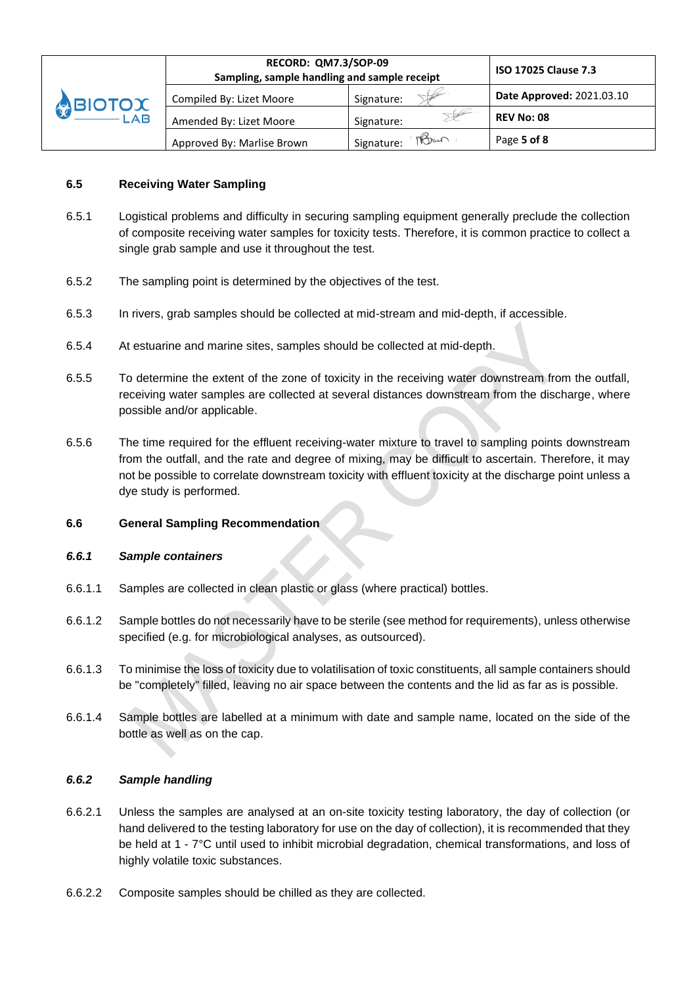|                                                                                                                                                                                                                                                                                                                                                                                             | RECORD: QM7.3/SOP-09<br>Sampling, sample handling and sample receipt | <b>ISO 17025 Clause 7.3</b> |                                  |
|---------------------------------------------------------------------------------------------------------------------------------------------------------------------------------------------------------------------------------------------------------------------------------------------------------------------------------------------------------------------------------------------|----------------------------------------------------------------------|-----------------------------|----------------------------------|
| <b>ABIOTOX</b><br>$\rule{1em}{0.15mm}$ $\rule{1em}{0.15mm}$ $\lbrack$ $\rbrack$ $\rbrack$ $\rbrack$ $\rbrack$ $\rbrack$ $\rbrack$ $\rbrack$ $\rbrack$ $\rbrack$ $\rbrack$ $\rbrack$ $\rbrack$ $\rbrack$ $\rbrack$ $\rbrack$ $\rbrack$ $\rbrack$ $\rbrack$ $\rbrack$ $\rbrack$ $\rbrack$ $\rbrack$ $\rbrack$ $\rbrack$ $\rbrack$ $\rbrack$ $\rbrack$ $\rbrack$ $\rbrack$ $\rbrack$ $\rbrack$ | Compiled By: Lizet Moore                                             | Signature:                  | <b>Date Approved: 2021.03.10</b> |
|                                                                                                                                                                                                                                                                                                                                                                                             | Amended By: Lizet Moore                                              | Signature:                  | <b>REV No: 08</b>                |
|                                                                                                                                                                                                                                                                                                                                                                                             | Approved By: Marlise Brown                                           | nBan<br>Signature:          | Page 5 of 8                      |

### **6.5 Receiving Water Sampling**

- 6.5.1 Logistical problems and difficulty in securing sampling equipment generally preclude the collection of composite receiving water samples for toxicity tests. Therefore, it is common practice to collect a single grab sample and use it throughout the test.
- 6.5.2 The sampling point is determined by the objectives of the test.
- 6.5.3 In rivers, grab samples should be collected at mid-stream and mid-depth, if accessible.
- 6.5.4 At estuarine and marine sites, samples should be collected at mid-depth.
- 6.5.5 To determine the extent of the zone of toxicity in the receiving water downstream from the outfall, receiving water samples are collected at several distances downstream from the discharge, where possible and/or applicable.
- 6.5.6 The time required for the effluent receiving-water mixture to travel to sampling points downstream from the outfall, and the rate and degree of mixing, may be difficult to ascertain. Therefore, it may not be possible to correlate downstream toxicity with effluent toxicity at the discharge point unless a dye study is performed.

#### **6.6 General Sampling Recommendation**

#### *6.6.1 Sample containers*

- 6.6.1.1 Samples are collected in clean plastic or glass (where practical) bottles.
- 6.6.1.2 Sample bottles do not necessarily have to be sterile (see method for requirements), unless otherwise specified (e.g. for microbiological analyses, as outsourced).
- 6.6.1.3 To minimise the loss of toxicity due to volatilisation of toxic constituents, all sample containers should be "completely" filled, leaving no air space between the contents and the lid as far as is possible.
- 6.6.1.4 Sample bottles are labelled at a minimum with date and sample name, located on the side of the bottle as well as on the cap.

#### *6.6.2 Sample handling*

- 6.6.2.1 Unless the samples are analysed at an on-site toxicity testing laboratory, the day of collection (or hand delivered to the testing laboratory for use on the day of collection), it is recommended that they be held at 1 - 7°C until used to inhibit microbial degradation, chemical transformations, and loss of highly volatile toxic substances.
- 6.6.2.2 Composite samples should be chilled as they are collected.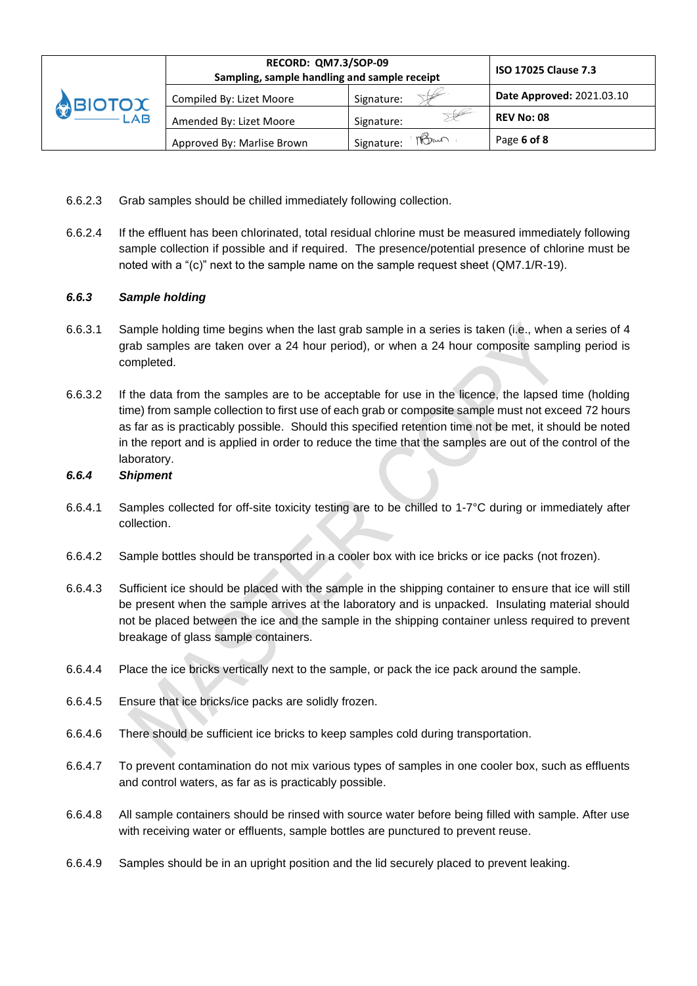|                                   | RECORD: QM7.3/SOP-09<br>Sampling, sample handling and sample receipt | <b>ISO 17025 Clause 7.3</b> |                           |
|-----------------------------------|----------------------------------------------------------------------|-----------------------------|---------------------------|
| <b>SBIOTOX</b><br>$-\mathsf{LAB}$ | Compiled By: Lizet Moore                                             | Signature:                  | Date Approved: 2021.03.10 |
|                                   | Amended By: Lizet Moore                                              | Signature:                  | <b>REV No: 08</b>         |
|                                   | Approved By: Marlise Brown                                           | MBan<br>Signature:          | Page 6 of 8               |

- 6.6.2.3 Grab samples should be chilled immediately following collection.
- 6.6.2.4 If the effluent has been chlorinated, total residual chlorine must be measured immediately following sample collection if possible and if required. The presence/potential presence of chlorine must be noted with a "(c)" next to the sample name on the sample request sheet (QM7.1/R-19).

## *6.6.3 Sample holding*

- 6.6.3.1 Sample holding time begins when the last grab sample in a series is taken (i.e., when a series of 4 grab samples are taken over a 24 hour period), or when a 24 hour composite sampling period is completed.
- 6.6.3.2 If the data from the samples are to be acceptable for use in the licence, the lapsed time (holding time) from sample collection to first use of each grab or composite sample must not exceed 72 hours as far as is practicably possible. Should this specified retention time not be met, it should be noted in the report and is applied in order to reduce the time that the samples are out of the control of the laboratory.

### *6.6.4 Shipment*

- 6.6.4.1 Samples collected for off-site toxicity testing are to be chilled to 1-7°C during or immediately after collection.
- 6.6.4.2 Sample bottles should be transported in a cooler box with ice bricks or ice packs (not frozen).
- 6.6.4.3 Sufficient ice should be placed with the sample in the shipping container to ensure that ice will still be present when the sample arrives at the laboratory and is unpacked. Insulating material should not be placed between the ice and the sample in the shipping container unless required to prevent breakage of glass sample containers.
- 6.6.4.4 Place the ice bricks vertically next to the sample, or pack the ice pack around the sample.
- 6.6.4.5 Ensure that ice bricks/ice packs are solidly frozen.
- 6.6.4.6 There should be sufficient ice bricks to keep samples cold during transportation.
- 6.6.4.7 To prevent contamination do not mix various types of samples in one cooler box, such as effluents and control waters, as far as is practicably possible.
- 6.6.4.8 All sample containers should be rinsed with source water before being filled with sample. After use with receiving water or effluents, sample bottles are punctured to prevent reuse.
- 6.6.4.9 Samples should be in an upright position and the lid securely placed to prevent leaking.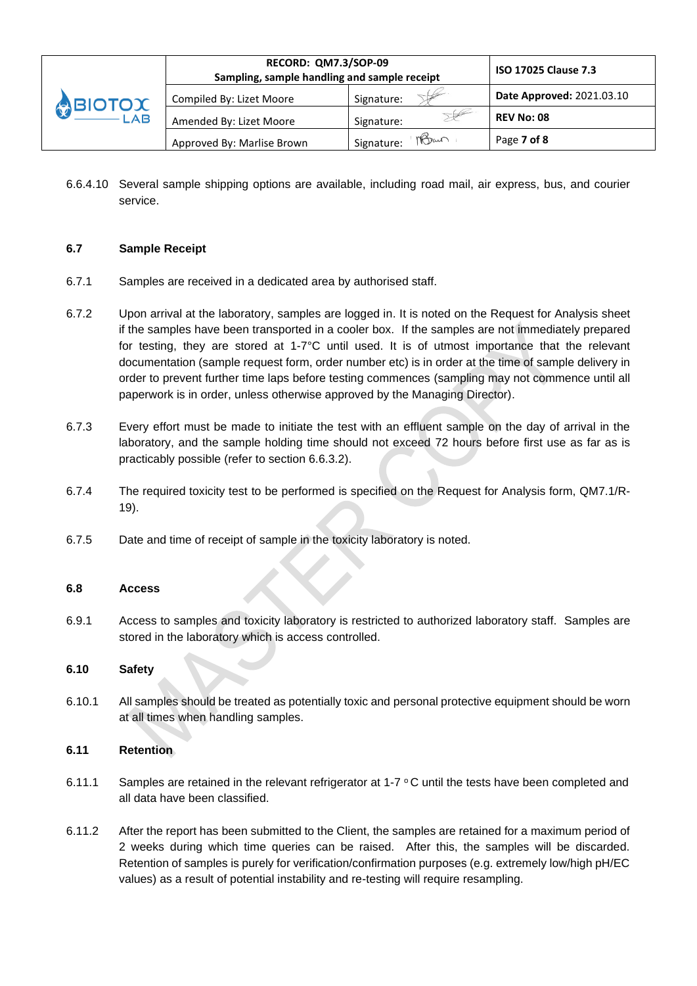|         | <b>RECORD: QM7.3/SOP-09</b><br>Sampling, sample handling and sample receipt | <b>ISO 17025 Clause 7.3</b> |                           |
|---------|-----------------------------------------------------------------------------|-----------------------------|---------------------------|
| ABIOTOX | Compiled By: Lizet Moore                                                    | Signature:                  | Date Approved: 2021.03.10 |
| $-LAB$  | Amended By: Lizet Moore                                                     | Signature:                  | <b>REV No: 08</b>         |
|         | Approved By: Marlise Brown                                                  | Man<br>Signature:           | Page 7 of 8               |

6.6.4.10 Several sample shipping options are available, including road mail, air express, bus, and courier service.

### **6.7 Sample Receipt**

- 6.7.1 Samples are received in a dedicated area by authorised staff.
- 6.7.2 Upon arrival at the laboratory, samples are logged in. It is noted on the Request for Analysis sheet if the samples have been transported in a cooler box. If the samples are not immediately prepared for testing, they are stored at 1-7°C until used. It is of utmost importance that the relevant documentation (sample request form, order number etc) is in order at the time of sample delivery in order to prevent further time laps before testing commences (sampling may not commence until all paperwork is in order, unless otherwise approved by the Managing Director).
- 6.7.3 Every effort must be made to initiate the test with an effluent sample on the day of arrival in the laboratory, and the sample holding time should not exceed 72 hours before first use as far as is practicably possible (refer to section 6.6.3.2).
- 6.7.4 The required toxicity test to be performed is specified on the Request for Analysis form, QM7.1/R-19).
- 6.7.5 Date and time of receipt of sample in the toxicity laboratory is noted.

۸

### **6.8 Access**

6.9.1 Access to samples and toxicity laboratory is restricted to authorized laboratory staff. Samples are stored in the laboratory which is access controlled.

### **6.10 Safety**

6.10.1 All samples should be treated as potentially toxic and personal protective equipment should be worn at all times when handling samples.

### **6.11 Retention**

- 6.11.1 Samples are retained in the relevant refrigerator at 1-7  $\circ$  C until the tests have been completed and all data have been classified.
- 6.11.2 After the report has been submitted to the Client, the samples are retained for a maximum period of 2 weeks during which time queries can be raised. After this, the samples will be discarded. Retention of samples is purely for verification/confirmation purposes (e.g. extremely low/high pH/EC values) as a result of potential instability and re-testing will require resampling.